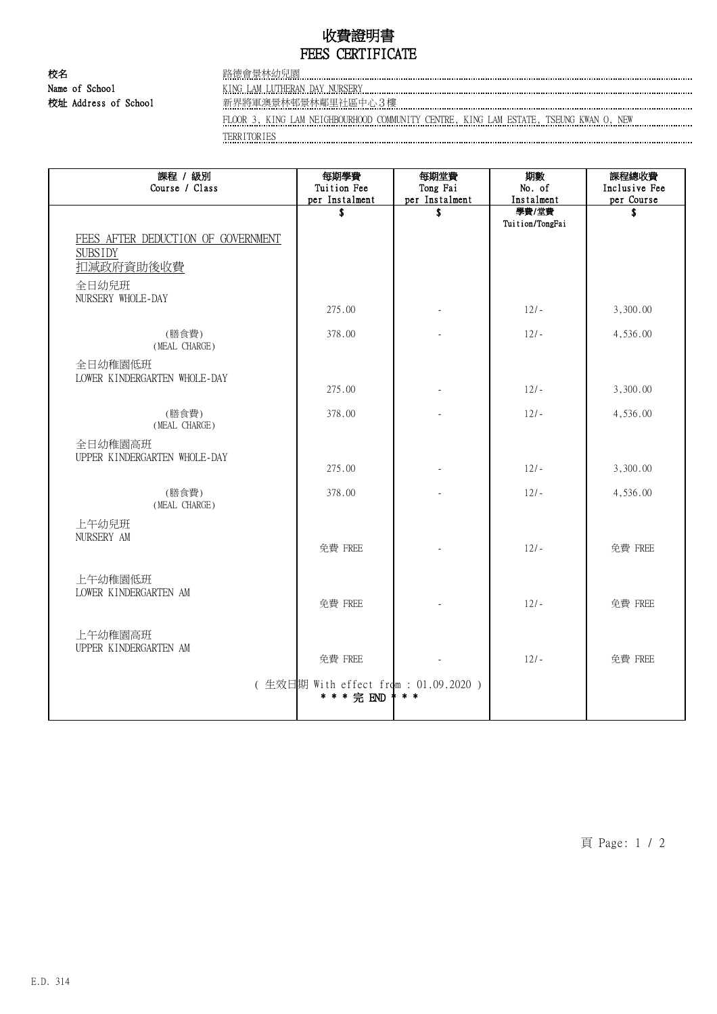## 收費證明書 FEES CERTIFICATE

校名 2008年 第2回 2008年 路德會景林幼兒園 Name of School KING LAM LUTHERAN DAY NURSERY

校址 Address of School 新界將軍澳景林邨景林鄰里社區中心3樓

FLOOR 3, KING LAM NEIGHBOURHOOD COMMUNITY CENTRE, KING LAM ESTATE, TSEUNG KWAN O, NEW

TERRITORIES

| 課程 / 級別<br>Course / Class                                                                       | 每期學費<br>Tuition Fee<br>per Instalment                | 每期堂費<br>Tong Fai<br>per Instalment | 期數<br>No. of<br>Instalment | 課程總收費<br>Inclusive Fee<br>per Course |
|-------------------------------------------------------------------------------------------------|------------------------------------------------------|------------------------------------|----------------------------|--------------------------------------|
|                                                                                                 | \$                                                   | \$                                 | 學費/堂費<br>Tuition/TongFai   | Ŝ.                                   |
| FEES AFTER DEDUCTION OF GOVERNMENT<br><b>SUBSIDY</b><br>扣減政府資助後收費<br>全日幼兒班<br>NURSERY WHOLE-DAY |                                                      |                                    |                            |                                      |
|                                                                                                 | 275.00                                               |                                    | $12/-$                     | 3,300.00                             |
| (膳食費)<br>(MEAL CHARGE)                                                                          | 378.00                                               |                                    | $12/-$                     | 4,536.00                             |
| 全日幼稚園低班<br>LOWER KINDERGARTEN WHOLE-DAY                                                         | 275.00                                               |                                    | $12/-$                     | 3,300.00                             |
| (膳食費)<br>(MEAL CHARGE)                                                                          | 378.00                                               |                                    | $12/-$                     | 4,536.00                             |
| 全日幼稚園高班<br>UPPER KINDERGARTEN WHOLE-DAY                                                         | 275.00                                               |                                    | $12/-$                     | 3,300.00                             |
| (膳食費)<br>(MEAL CHARGE)                                                                          | 378.00                                               |                                    | $12/-$                     | 4,536.00                             |
| 上午幼兒班<br>NURSERY AM                                                                             | 免費 FREE                                              |                                    | $12/-$                     | 免費 FREE                              |
| 上午幼稚園低班<br>LOWER KINDERGARTEN AM                                                                | 免費 FREE                                              |                                    | $12/-$                     | 免費 FREE                              |
| 上午幼稚園高班<br>UPPER KINDERGARTEN AM                                                                | 免費 FREE                                              |                                    | $12/-$                     | 免費 FREE                              |
|                                                                                                 | (生效日期 With effect from : 01.09.2020 )<br>* * * 完 END | $*$ $*$                            |                            |                                      |

頁 Page: 1 / 2